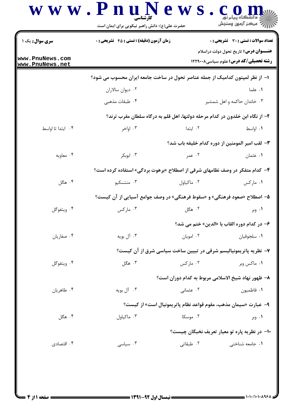| حضرت علی(ع): دانش راهبر نیکویی برای ایمان است    |          | أأأ " مركز آزمون وسنجش                                                                                                                                                                                                                                                                                                                                                                                                                                                                                                                                                                                                                                                                                        |
|--------------------------------------------------|----------|---------------------------------------------------------------------------------------------------------------------------------------------------------------------------------------------------------------------------------------------------------------------------------------------------------------------------------------------------------------------------------------------------------------------------------------------------------------------------------------------------------------------------------------------------------------------------------------------------------------------------------------------------------------------------------------------------------------|
| <b>زمان آزمون (دقیقه) : تستی : 45 تشریحی : 0</b> |          | تعداد سوالات : تستى : 30 قشريحى : 0                                                                                                                                                                                                                                                                                                                                                                                                                                                                                                                                                                                                                                                                           |
|                                                  |          | <b>عنــــوان درس:</b> تاریخ تحول دولت دراسلام<br><b>رشته تحصیلی/کد درس:</b> علوم سیاسی1۲۲۹۰۰۸                                                                                                                                                                                                                                                                                                                                                                                                                                                                                                                                                                                                                 |
|                                                  |          |                                                                                                                                                                                                                                                                                                                                                                                                                                                                                                                                                                                                                                                                                                               |
| ۰۲ دیوان سالاران                                 |          | ۰۱ علما                                                                                                                                                                                                                                                                                                                                                                                                                                                                                                                                                                                                                                                                                                       |
| ۰۴ طبقات مذهبی                                   |          | ۰۳ خاندان حاکمه و اهل شمشیر                                                                                                                                                                                                                                                                                                                                                                                                                                                                                                                                                                                                                                                                                   |
|                                                  |          |                                                                                                                                                                                                                                                                                                                                                                                                                                                                                                                                                                                                                                                                                                               |
| ۰۳ اواخر                                         | ۰۲ ابتدا | ٠١. اواسط                                                                                                                                                                                                                                                                                                                                                                                                                                                                                                                                                                                                                                                                                                     |
|                                                  |          |                                                                                                                                                                                                                                                                                                                                                                                                                                                                                                                                                                                                                                                                                                               |
| ۰۳ ابوبکر                                        | ۰۲ عمر   | ۰۱ عثمان                                                                                                                                                                                                                                                                                                                                                                                                                                                                                                                                                                                                                                                                                                      |
|                                                  |          |                                                                                                                                                                                                                                                                                                                                                                                                                                                                                                                                                                                                                                                                                                               |
| ۰۳ منتسکیو                                       |          | ۰۱ مارکس                                                                                                                                                                                                                                                                                                                                                                                                                                                                                                                                                                                                                                                                                                      |
|                                                  |          |                                                                                                                                                                                                                                                                                                                                                                                                                                                                                                                                                                                                                                                                                                               |
| ۰۳ مارکس                                         | ۰۲ هگل   | ۰۱ وبر                                                                                                                                                                                                                                                                                                                                                                                                                                                                                                                                                                                                                                                                                                        |
|                                                  |          | ۶– در کدام دوره القاب با «الدين» ختم مي شد؟                                                                                                                                                                                                                                                                                                                                                                                                                                                                                                                                                                                                                                                                   |
| ۰۳ آل بويه                                       |          | ٠١ سلجوقيان                                                                                                                                                                                                                                                                                                                                                                                                                                                                                                                                                                                                                                                                                                   |
|                                                  |          |                                                                                                                                                                                                                                                                                                                                                                                                                                                                                                                                                                                                                                                                                                               |
| ۰۳ هگل                                           |          | ۰۱ ماکس وبر                                                                                                                                                                                                                                                                                                                                                                                                                                                                                                                                                                                                                                                                                                   |
|                                                  |          |                                                                                                                                                                                                                                                                                                                                                                                                                                                                                                                                                                                                                                                                                                               |
| ۰۳ آل بويه                                       |          | ٠١ فاطميون                                                                                                                                                                                                                                                                                                                                                                                                                                                                                                                                                                                                                                                                                                    |
|                                                  |          |                                                                                                                                                                                                                                                                                                                                                                                                                                                                                                                                                                                                                                                                                                               |
| ۰۳ ماکیاول                                       |          | ۰۱ وبر                                                                                                                                                                                                                                                                                                                                                                                                                                                                                                                                                                                                                                                                                                        |
|                                                  |          |                                                                                                                                                                                                                                                                                                                                                                                                                                                                                                                                                                                                                                                                                                               |
|                                                  |          | ۰۱ جامعه شناخت <sub>ی</sub>                                                                                                                                                                                                                                                                                                                                                                                                                                                                                                                                                                                                                                                                                   |
|                                                  | ۰۳ سیاسی | ا– از نظر لمپتون کدامیک از جمله عناصر تحول در ساخت جامعه ایران محسوب می شود؟<br>۲– از نگاه ابن خلدون در کدام مرحله دولتها، اهل قلم به درگاه سلطان مقرب ترند؟<br><b>٣</b> – لقب امير المومنين از دوره كدام خليفه باب شد؟<br>۴- کدام متفکر در وصف نظامهای شرقی از اصطلاح «برهوت بردگی» استفاده کرده است؟<br>۰۲ ماکیاول<br>۵– اصطلاح «صعود فرهنگی» و «سقوط فرهنگی» در وصف جوامع آسیایی از آن کیست؟<br>۰۲ امویان<br>۷- نظریه پاتریمونیالیسم شرقی در تبیین ساخت سیاسی شرق از آن کیست؟<br>۰۲ مارکس<br>۸– ظهور نهاد شيخ الاسلامي مربوط به كدام دوران است؟<br>۰۲ عثمانی<br>۹–  عبارت «سیمان مذهب، مقوم قواعد نظام پاتریمونیال است» از کیست؟<br>۰۲ موسکا<br>۱۰– در نظریه پاره تو معیار تعریف نخبگان چیست؟<br>۰۲ طبقاتی |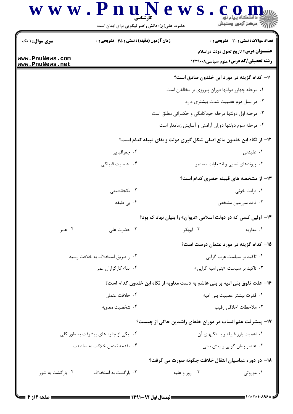## www.PnuNews.com

حضرت علی(ع): دانش راهبر نیکویی برای ایمان است **تعداد سوالات : تستي : 30 ٪ تشريحي : 0 سری سوال : ۱ یک زمان آزمون (دقیقه) : تستی : 45 تشریحی : 0 عنـــوان درس:** تاریخ تحول دولت دراسلام www.PnuNews.com **رشته تحصیلی/کد درس: علوم سیاسی1۲۲۹۰۰۸** www.PnuNews.net 11- كدام گزينه در مورد ابن خلدون صادق است؟ ۰۱ مرحله چهارو دولتها دوران پیروزی بر مخالفان است ۰۲ در نسل دوم عصبیت شدت بیشتری دارد ۰۳ مرحله اول دولتها مرحله خودکامگی و حکمرانی مطلق است ۰۴ مرحله سوم دولتها دوران آرامش و آسایش زمامدار است ۱۲- از نگاه ابن خلدون مانع اصلی شکل گیری دولت و بقای قبیله کدام است؟ ۰۲ جغرافیایی ۰۱ عقیدتی ۰۴ عصبيت قبيلگي ۰۳ پیوندهای نسبی و انشعابات مستمر ۱۳- از مشخصه های قبیله حضری کدام است؟ ۰۲ یکجانشینی ۰۱ قرابت خونی ۰۴ بی طبقه ۰۳ فاقد سرزمین مشخص ۱۴- اولین کسی که در دولت اسلامی «دیوان» را بنیان نهاد که بود؟ ۰۴ عمر ۲. ابوبکر ۰۳ حضرت علی ۰۱ معاویه ۱۵– کدام گزینه در مورد عثمان درست است؟ ۲. از طریق استخلاف به خلافت رسید ٠١ تاكيد بر سياست عرب گرايي ۰۴ ابقاء کارگزاران عمر ۰۳ تاکید بر سیاست «بنی امیه گرایی» ۱۶– علت تفوق بنی امیه بر بنی هاشم به دست معاویه از نگاه ابن خلدون کدام است؟ ۰۲ خلافت عثمان ۰۱ قدرت بیشتر عصبیت بنی امیه ۰۴ شخصیت معاویه ۰۳ ملاحظات اخلاقی ,قیب ۱۷- پیشرفت علم انساب در دوران خلفای راشدین حاکی از چیست؟ ۰۱ اهمیت بارز قبیله و بستگیهای آن ۰۲ یکی از جلوه های پیشرفت به طور کلی ۰۳ عنصر پیش گویی و پیش بینی ۰۴ مقدمه تبدیل خلافت به سلطنت ۱۸– در دوره عباسیان انتقال خلافت چگونه صورت می گرفت؟

۰۴ بازگشت به شورا ۰۳ باز گشت به استخلاف ۰۲ زور و غلبه ۰۱ موروثی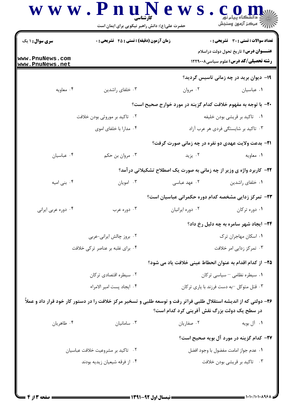|                                    | حضرت علی(ع): دانش راهبر نیکویی برای ایمان است                                                                     |                                              | رآب مرڪز آزمون وسنڊش                                                                                                                         |  |
|------------------------------------|-------------------------------------------------------------------------------------------------------------------|----------------------------------------------|----------------------------------------------------------------------------------------------------------------------------------------------|--|
| <b>سری سوال :</b> ۱ یک             | <b>زمان آزمون (دقیقه) : تستی : 45 تشریحی : 0</b>                                                                  |                                              | <b>تعداد سوالات : تستی : 30 ٪ تشریحی : 0</b><br><b>عنـــوان درس:</b> تاریخ تحول دولت دراسلام<br><b>رشته تحصیلی/کد درس:</b> علوم سیاسی1۲۲۹۰۰۸ |  |
| www.PnuNews.com<br>www.PnuNews.net |                                                                                                                   |                                              |                                                                                                                                              |  |
|                                    |                                                                                                                   |                                              | <b>۱۹</b> - دیوان برید در چه زمانی تاسیس گردید؟                                                                                              |  |
| ۰۴ معاويه                          | ۰۳ خلفای راشدین                                                                                                   | ۰۲ مروان                                     | ٠١ عباسيان                                                                                                                                   |  |
|                                    |                                                                                                                   |                                              | +۲- با توجه به مفهوم خلافت کدام گزینه در مورد خوارج صحیح است؟                                                                                |  |
|                                    | ۰۲ تاکید بر موروثی بودن خلافت                                                                                     | ۰۱ تاکید بر قریشی بودن خلیفه                 |                                                                                                                                              |  |
|                                    | ۰۴ مدارا با خلفای اموی                                                                                            | ۰۳ تاکید بر شایستگی فردی هر عرب آزاد         |                                                                                                                                              |  |
|                                    |                                                                                                                   |                                              | <b>۲۱</b> - بدعت ولایت عهدی دو نفره در چه زمانی صورت گرفت؟                                                                                   |  |
| ۰۴ عباسيان                         | ۰۳ مروان بن حکم                                                                                                   | ۰۲ یزید                                      | ۰۱ معاويه                                                                                                                                    |  |
|                                    |                                                                                                                   |                                              | ۲۲- کاربرد واژه ی وزیر از چه زمانی به صورت یک اصطلاح تشکیلاتی درآمد؟                                                                         |  |
| ۰۴ بنی امیه                        | ۰۳ امويان                                                                                                         | ۰۲ عهد عباسی                                 | ٠١ خلفاي راشدين                                                                                                                              |  |
|                                    |                                                                                                                   |                                              | ۲۳- تمرکز زدایی مشخصه کدام دوره حکمرانی عباسیان است؟                                                                                         |  |
| ۰۴ دوره عربي ايراني                | ۰۳ دوره عرب                                                                                                       | ٠٢ دوره ايرانيان                             | ۰۱ دوره ترکان                                                                                                                                |  |
|                                    |                                                                                                                   |                                              | ۲۴- ایجاد شهر سامره به چه دلیل رخ داد؟                                                                                                       |  |
|                                    | ٠٢ بروز چالش ايراني-عربي                                                                                          | ٠١ اسكان مهاجران ترك                         |                                                                                                                                              |  |
|                                    | ۰۴ برای غلبه بر عناصر ترکی خلافت                                                                                  | ۰۳ تمرکز زدایی امر خلافت                     |                                                                                                                                              |  |
|                                    |                                                                                                                   |                                              | ۲۵– از کدام اقدام به عنوان انحطاط عینی خلافت یاد می شود؟                                                                                     |  |
|                                    | ۰۲ سیطره اقتصادی ترکان                                                                                            | ٠١ سيطره نظامى - سياسى تركان                 |                                                                                                                                              |  |
|                                    | ٠۴ ايجاد پست امير الامراء                                                                                         | ۰۳ قتل متوکل –به دست فرزند با یاری ترکان     |                                                                                                                                              |  |
|                                    | ۲۶– دولتی که از اندیشه استقلال طلبی فراتر رفت و توسعه طلبی و تسخیر مرکز خلافت را در دستور کار خود قرار داد و عملأ | در سطح یک دولت بزرگ نقش آفرینی کرد کدام است؟ |                                                                                                                                              |  |
| ۰۴ طاهريان                         | ۰۳ سامانیان                                                                                                       | ۰۲ صفاریان                                   | ۰۱ آل بويه                                                                                                                                   |  |
|                                    |                                                                                                                   |                                              | ۲۷– کدام گزینه در مورد آل بویه صحیح است؟                                                                                                     |  |
| ۰۲ تاکید بر مشروعیت خلافت عباسیان  |                                                                                                                   | ٠١ عدم جواز امامت مفضول با وجود افضل         |                                                                                                                                              |  |
|                                    | ۰۴ از فرقه شیعیان زیدیه بودند                                                                                     | ۰۳ تاکید بر قریشی بودن خلافت                 |                                                                                                                                              |  |